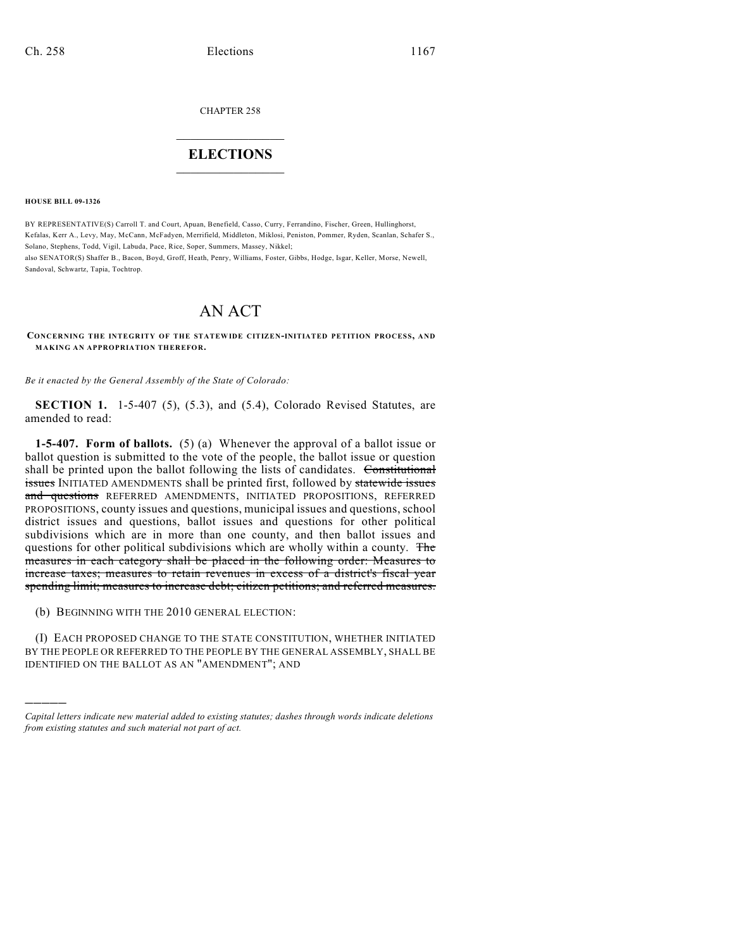CHAPTER 258

# $\overline{\phantom{a}}$  . The set of the set of the set of the set of the set of the set of the set of the set of the set of the set of the set of the set of the set of the set of the set of the set of the set of the set of the set o **ELECTIONS**  $\_$

**HOUSE BILL 09-1326**

)))))

BY REPRESENTATIVE(S) Carroll T. and Court, Apuan, Benefield, Casso, Curry, Ferrandino, Fischer, Green, Hullinghorst, Kefalas, Kerr A., Levy, May, McCann, McFadyen, Merrifield, Middleton, Miklosi, Peniston, Pommer, Ryden, Scanlan, Schafer S., Solano, Stephens, Todd, Vigil, Labuda, Pace, Rice, Soper, Summers, Massey, Nikkel; also SENATOR(S) Shaffer B., Bacon, Boyd, Groff, Heath, Penry, Williams, Foster, Gibbs, Hodge, Isgar, Keller, Morse, Newell, Sandoval, Schwartz, Tapia, Tochtrop.

# AN ACT

**CONCERNING THE INTEGRITY OF THE STATEWIDE CITIZEN-INITIATED PETITION PROCESS, AND MAKING AN APPROPRIATION THEREFOR.**

*Be it enacted by the General Assembly of the State of Colorado:*

**SECTION 1.** 1-5-407 (5), (5.3), and (5.4), Colorado Revised Statutes, are amended to read:

**1-5-407. Form of ballots.** (5) (a) Whenever the approval of a ballot issue or ballot question is submitted to the vote of the people, the ballot issue or question shall be printed upon the ballot following the lists of candidates. Constitutional **issues** INITIATED AMENDMENTS shall be printed first, followed by statewide issues and questions REFERRED AMENDMENTS, INITIATED PROPOSITIONS, REFERRED PROPOSITIONS, county issues and questions, municipal issues and questions, school district issues and questions, ballot issues and questions for other political subdivisions which are in more than one county, and then ballot issues and questions for other political subdivisions which are wholly within a county. The measures in each category shall be placed in the following order: Measures to increase taxes; measures to retain revenues in excess of a district's fiscal year spending limit; measures to increase debt; citizen petitions; and referred measures.

(b) BEGINNING WITH THE 2010 GENERAL ELECTION:

(I) EACH PROPOSED CHANGE TO THE STATE CONSTITUTION, WHETHER INITIATED BY THE PEOPLE OR REFERRED TO THE PEOPLE BY THE GENERAL ASSEMBLY, SHALL BE IDENTIFIED ON THE BALLOT AS AN "AMENDMENT"; AND

*Capital letters indicate new material added to existing statutes; dashes through words indicate deletions from existing statutes and such material not part of act.*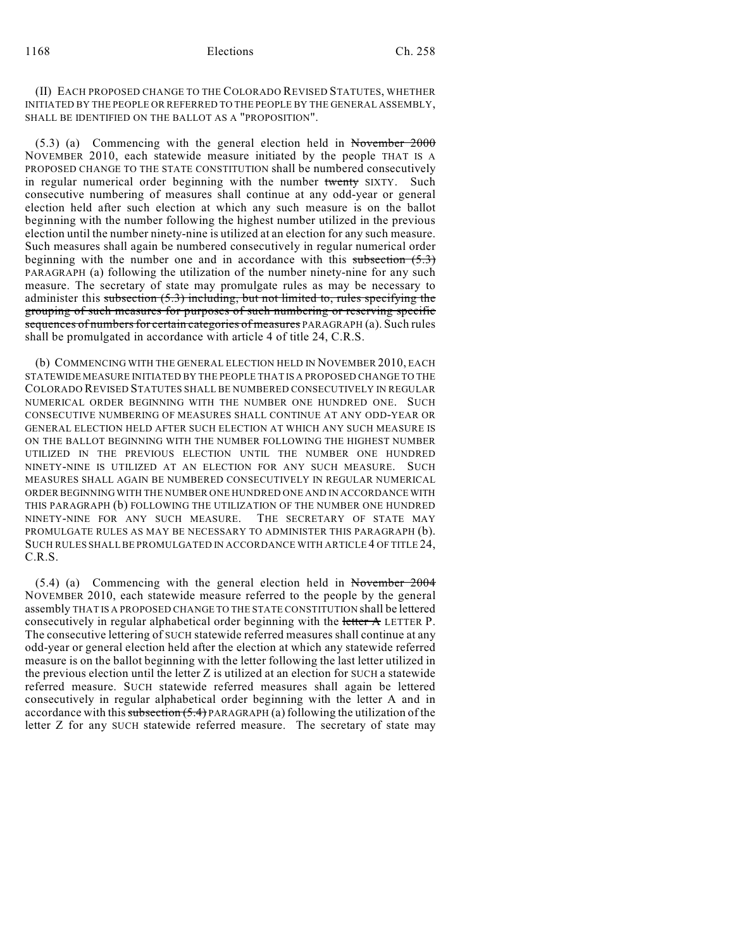(II) EACH PROPOSED CHANGE TO THE COLORADO REVISED STATUTES, WHETHER INITIATED BY THE PEOPLE OR REFERRED TO THE PEOPLE BY THE GENERAL ASSEMBLY, SHALL BE IDENTIFIED ON THE BALLOT AS A "PROPOSITION".

(5.3) (a) Commencing with the general election held in November 2000 NOVEMBER 2010, each statewide measure initiated by the people THAT IS A PROPOSED CHANGE TO THE STATE CONSTITUTION shall be numbered consecutively in regular numerical order beginning with the number twenty SIXTY. Such consecutive numbering of measures shall continue at any odd-year or general election held after such election at which any such measure is on the ballot beginning with the number following the highest number utilized in the previous election until the number ninety-nine is utilized at an election for any such measure. Such measures shall again be numbered consecutively in regular numerical order beginning with the number one and in accordance with this subsection  $(5.3)$ PARAGRAPH (a) following the utilization of the number ninety-nine for any such measure. The secretary of state may promulgate rules as may be necessary to administer this subsection  $(5.3)$  including, but not limited to, rules specifying the grouping of such measures for purposes of such numbering or reserving specific sequences of numbers for certain categories of measures PARAGRAPH (a). Such rules shall be promulgated in accordance with article 4 of title 24, C.R.S.

(b) COMMENCING WITH THE GENERAL ELECTION HELD IN NOVEMBER 2010, EACH STATEWIDE MEASURE INITIATED BY THE PEOPLE THAT IS A PROPOSED CHANGE TO THE COLORADO REVISED STATUTES SHALL BE NUMBERED CONSECUTIVELY IN REGULAR NUMERICAL ORDER BEGINNING WITH THE NUMBER ONE HUNDRED ONE. SUCH CONSECUTIVE NUMBERING OF MEASURES SHALL CONTINUE AT ANY ODD-YEAR OR GENERAL ELECTION HELD AFTER SUCH ELECTION AT WHICH ANY SUCH MEASURE IS ON THE BALLOT BEGINNING WITH THE NUMBER FOLLOWING THE HIGHEST NUMBER UTILIZED IN THE PREVIOUS ELECTION UNTIL THE NUMBER ONE HUNDRED NINETY-NINE IS UTILIZED AT AN ELECTION FOR ANY SUCH MEASURE. SUCH MEASURES SHALL AGAIN BE NUMBERED CONSECUTIVELY IN REGULAR NUMERICAL ORDER BEGINNING WITH THE NUMBER ONE HUNDRED ONE AND IN ACCORDANCE WITH THIS PARAGRAPH (b) FOLLOWING THE UTILIZATION OF THE NUMBER ONE HUNDRED NINETY-NINE FOR ANY SUCH MEASURE. THE SECRETARY OF STATE MAY PROMULGATE RULES AS MAY BE NECESSARY TO ADMINISTER THIS PARAGRAPH (b). SUCH RULES SHALLBE PROMULGATED IN ACCORDANCE WITH ARTICLE 4 OF TITLE 24, C.R.S.

(5.4) (a) Commencing with the general election held in November 2004 NOVEMBER 2010, each statewide measure referred to the people by the general assembly THAT IS A PROPOSED CHANGE TO THE STATE CONSTITUTION shall be lettered consecutively in regular alphabetical order beginning with the letter  $\overline{A}$  LETTER P. The consecutive lettering of SUCH statewide referred measures shall continue at any odd-year or general election held after the election at which any statewide referred measure is on the ballot beginning with the letter following the last letter utilized in the previous election until the letter Z is utilized at an election for SUCH a statewide referred measure. SUCH statewide referred measures shall again be lettered consecutively in regular alphabetical order beginning with the letter A and in accordance with this subsection  $(5.4)$  PARAGRAPH (a) following the utilization of the letter Z for any SUCH statewide referred measure. The secretary of state may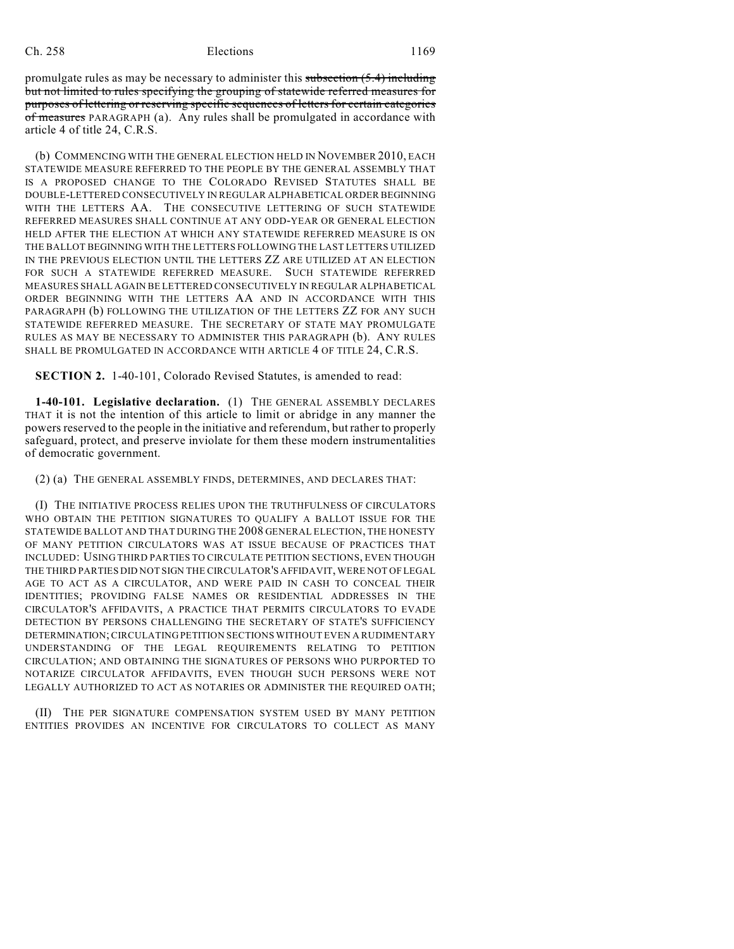promulgate rules as may be necessary to administer this subsection  $(5.4)$  including but not limited to rules specifying the grouping of statewide referred measures for purposes of lettering or reserving specific sequences of letters for certain categories of measures PARAGRAPH (a). Any rules shall be promulgated in accordance with article 4 of title 24, C.R.S.

(b) COMMENCING WITH THE GENERAL ELECTION HELD IN NOVEMBER 2010, EACH STATEWIDE MEASURE REFERRED TO THE PEOPLE BY THE GENERAL ASSEMBLY THAT IS A PROPOSED CHANGE TO THE COLORADO REVISED STATUTES SHALL BE DOUBLE-LETTERED CONSECUTIVELY IN REGULAR ALPHABETICAL ORDER BEGINNING WITH THE LETTERS AA. THE CONSECUTIVE LETTERING OF SUCH STATEWIDE REFERRED MEASURES SHALL CONTINUE AT ANY ODD-YEAR OR GENERAL ELECTION HELD AFTER THE ELECTION AT WHICH ANY STATEWIDE REFERRED MEASURE IS ON THE BALLOT BEGINNING WITH THE LETTERS FOLLOWING THE LAST LETTERS UTILIZED IN THE PREVIOUS ELECTION UNTIL THE LETTERS ZZ ARE UTILIZED AT AN ELECTION FOR SUCH A STATEWIDE REFERRED MEASURE. SUCH STATEWIDE REFERRED MEASURES SHALL AGAIN BE LETTERED CONSECUTIVELY IN REGULAR ALPHABETICAL ORDER BEGINNING WITH THE LETTERS AA AND IN ACCORDANCE WITH THIS PARAGRAPH (b) FOLLOWING THE UTILIZATION OF THE LETTERS ZZ FOR ANY SUCH STATEWIDE REFERRED MEASURE. THE SECRETARY OF STATE MAY PROMULGATE RULES AS MAY BE NECESSARY TO ADMINISTER THIS PARAGRAPH (b). ANY RULES SHALL BE PROMULGATED IN ACCORDANCE WITH ARTICLE 4 OF TITLE 24, C.R.S.

**SECTION 2.** 1-40-101, Colorado Revised Statutes, is amended to read:

**1-40-101. Legislative declaration.** (1) THE GENERAL ASSEMBLY DECLARES THAT it is not the intention of this article to limit or abridge in any manner the powers reserved to the people in the initiative and referendum, but rather to properly safeguard, protect, and preserve inviolate for them these modern instrumentalities of democratic government.

(2) (a) THE GENERAL ASSEMBLY FINDS, DETERMINES, AND DECLARES THAT:

(I) THE INITIATIVE PROCESS RELIES UPON THE TRUTHFULNESS OF CIRCULATORS WHO OBTAIN THE PETITION SIGNATURES TO QUALIFY A BALLOT ISSUE FOR THE STATEWIDE BALLOT AND THAT DURING THE 2008 GENERAL ELECTION, THE HONESTY OF MANY PETITION CIRCULATORS WAS AT ISSUE BECAUSE OF PRACTICES THAT INCLUDED: USING THIRD PARTIES TO CIRCULATE PETITION SECTIONS, EVEN THOUGH THE THIRD PARTIES DID NOT SIGN THE CIRCULATOR'S AFFIDAVIT, WERE NOT OF LEGAL AGE TO ACT AS A CIRCULATOR, AND WERE PAID IN CASH TO CONCEAL THEIR IDENTITIES; PROVIDING FALSE NAMES OR RESIDENTIAL ADDRESSES IN THE CIRCULATOR'S AFFIDAVITS, A PRACTICE THAT PERMITS CIRCULATORS TO EVADE DETECTION BY PERSONS CHALLENGING THE SECRETARY OF STATE'S SUFFICIENCY DETERMINATION; CIRCULATING PETITION SECTIONS WITHOUT EVEN A RUDIMENTARY UNDERSTANDING OF THE LEGAL REQUIREMENTS RELATING TO PETITION CIRCULATION; AND OBTAINING THE SIGNATURES OF PERSONS WHO PURPORTED TO NOTARIZE CIRCULATOR AFFIDAVITS, EVEN THOUGH SUCH PERSONS WERE NOT LEGALLY AUTHORIZED TO ACT AS NOTARIES OR ADMINISTER THE REQUIRED OATH;

(II) THE PER SIGNATURE COMPENSATION SYSTEM USED BY MANY PETITION ENTITIES PROVIDES AN INCENTIVE FOR CIRCULATORS TO COLLECT AS MANY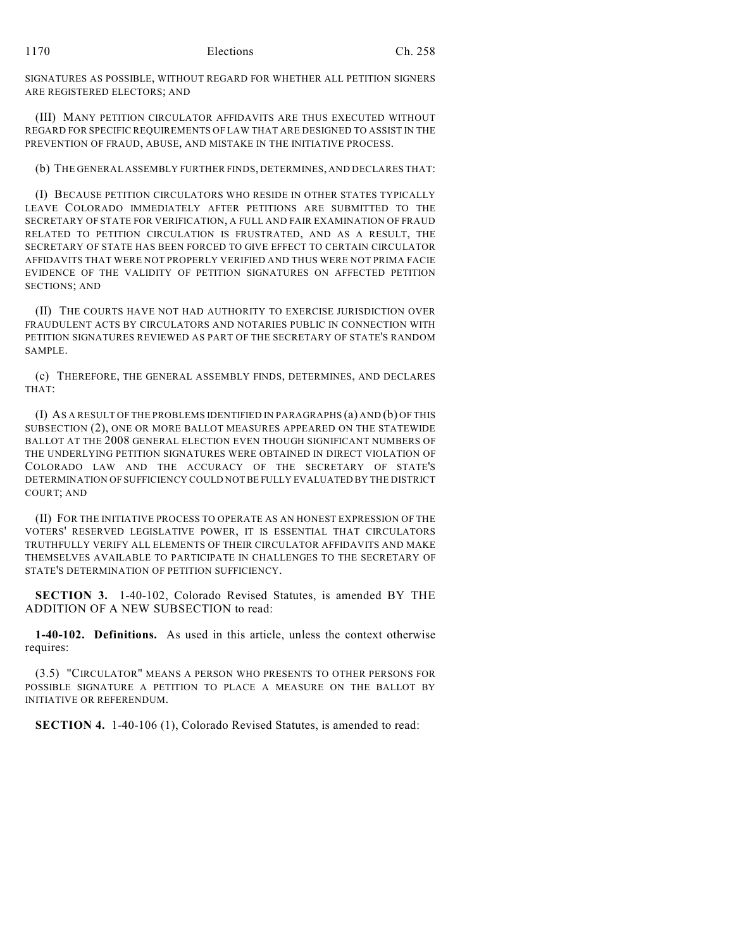SIGNATURES AS POSSIBLE, WITHOUT REGARD FOR WHETHER ALL PETITION SIGNERS ARE REGISTERED ELECTORS; AND

(III) MANY PETITION CIRCULATOR AFFIDAVITS ARE THUS EXECUTED WITHOUT REGARD FOR SPECIFIC REQUIREMENTS OF LAW THAT ARE DESIGNED TO ASSIST IN THE PREVENTION OF FRAUD, ABUSE, AND MISTAKE IN THE INITIATIVE PROCESS.

(b) THE GENERAL ASSEMBLY FURTHER FINDS, DETERMINES, AND DECLARES THAT:

(I) BECAUSE PETITION CIRCULATORS WHO RESIDE IN OTHER STATES TYPICALLY LEAVE COLORADO IMMEDIATELY AFTER PETITIONS ARE SUBMITTED TO THE SECRETARY OF STATE FOR VERIFICATION, A FULL AND FAIR EXAMINATION OF FRAUD RELATED TO PETITION CIRCULATION IS FRUSTRATED, AND AS A RESULT, THE SECRETARY OF STATE HAS BEEN FORCED TO GIVE EFFECT TO CERTAIN CIRCULATOR AFFIDAVITS THAT WERE NOT PROPERLY VERIFIED AND THUS WERE NOT PRIMA FACIE EVIDENCE OF THE VALIDITY OF PETITION SIGNATURES ON AFFECTED PETITION SECTIONS; AND

(II) THE COURTS HAVE NOT HAD AUTHORITY TO EXERCISE JURISDICTION OVER FRAUDULENT ACTS BY CIRCULATORS AND NOTARIES PUBLIC IN CONNECTION WITH PETITION SIGNATURES REVIEWED AS PART OF THE SECRETARY OF STATE'S RANDOM SAMPLE.

(c) THEREFORE, THE GENERAL ASSEMBLY FINDS, DETERMINES, AND DECLARES THAT:

(I) AS A RESULT OF THE PROBLEMS IDENTIFIED IN PARAGRAPHS (a) AND (b) OF THIS SUBSECTION (2), ONE OR MORE BALLOT MEASURES APPEARED ON THE STATEWIDE BALLOT AT THE 2008 GENERAL ELECTION EVEN THOUGH SIGNIFICANT NUMBERS OF THE UNDERLYING PETITION SIGNATURES WERE OBTAINED IN DIRECT VIOLATION OF COLORADO LAW AND THE ACCURACY OF THE SECRETARY OF STATE'S DETERMINATION OF SUFFICIENCY COULD NOT BE FULLY EVALUATED BY THE DISTRICT COURT; AND

(II) FOR THE INITIATIVE PROCESS TO OPERATE AS AN HONEST EXPRESSION OF THE VOTERS' RESERVED LEGISLATIVE POWER, IT IS ESSENTIAL THAT CIRCULATORS TRUTHFULLY VERIFY ALL ELEMENTS OF THEIR CIRCULATOR AFFIDAVITS AND MAKE THEMSELVES AVAILABLE TO PARTICIPATE IN CHALLENGES TO THE SECRETARY OF STATE'S DETERMINATION OF PETITION SUFFICIENCY.

**SECTION 3.** 1-40-102, Colorado Revised Statutes, is amended BY THE ADDITION OF A NEW SUBSECTION to read:

**1-40-102. Definitions.** As used in this article, unless the context otherwise requires:

(3.5) "CIRCULATOR" MEANS A PERSON WHO PRESENTS TO OTHER PERSONS FOR POSSIBLE SIGNATURE A PETITION TO PLACE A MEASURE ON THE BALLOT BY INITIATIVE OR REFERENDUM.

**SECTION 4.** 1-40-106 (1), Colorado Revised Statutes, is amended to read: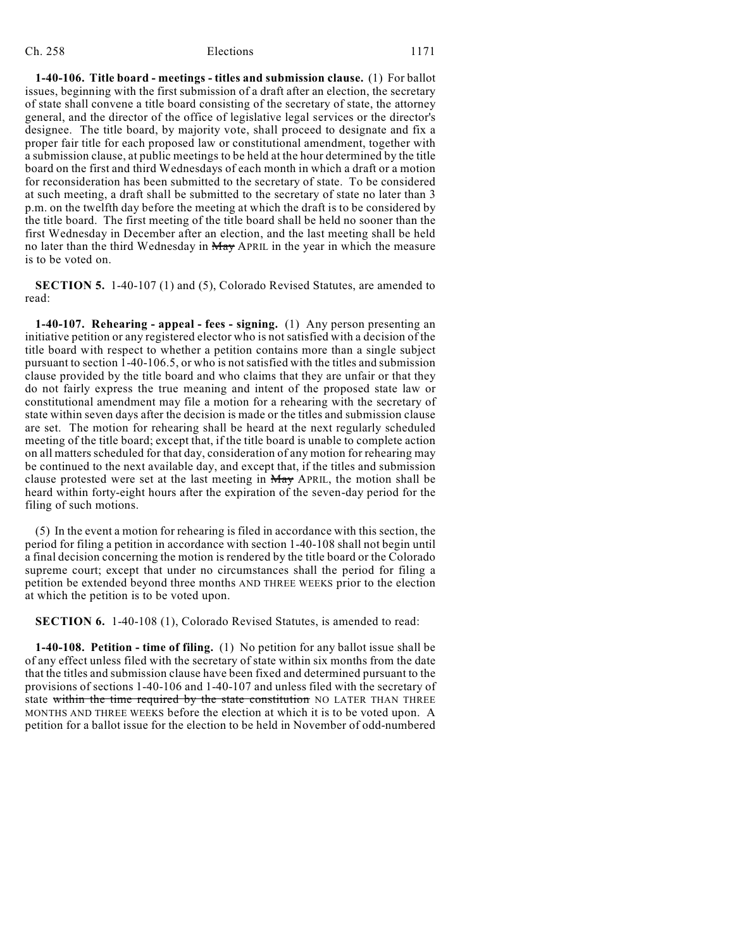**1-40-106. Title board - meetings - titles and submission clause.** (1) For ballot issues, beginning with the first submission of a draft after an election, the secretary of state shall convene a title board consisting of the secretary of state, the attorney general, and the director of the office of legislative legal services or the director's designee. The title board, by majority vote, shall proceed to designate and fix a proper fair title for each proposed law or constitutional amendment, together with a submission clause, at public meetings to be held at the hour determined by the title board on the first and third Wednesdays of each month in which a draft or a motion for reconsideration has been submitted to the secretary of state. To be considered at such meeting, a draft shall be submitted to the secretary of state no later than 3 p.m. on the twelfth day before the meeting at which the draft is to be considered by the title board. The first meeting of the title board shall be held no sooner than the first Wednesday in December after an election, and the last meeting shall be held no later than the third Wednesday in May APRIL in the year in which the measure is to be voted on.

**SECTION 5.** 1-40-107 (1) and (5), Colorado Revised Statutes, are amended to read:

**1-40-107. Rehearing - appeal - fees - signing.** (1) Any person presenting an initiative petition or any registered elector who is not satisfied with a decision of the title board with respect to whether a petition contains more than a single subject pursuant to section 1-40-106.5, or who is not satisfied with the titles and submission clause provided by the title board and who claims that they are unfair or that they do not fairly express the true meaning and intent of the proposed state law or constitutional amendment may file a motion for a rehearing with the secretary of state within seven days after the decision is made or the titles and submission clause are set. The motion for rehearing shall be heard at the next regularly scheduled meeting of the title board; except that, if the title board is unable to complete action on all matters scheduled for that day, consideration of any motion for rehearing may be continued to the next available day, and except that, if the titles and submission clause protested were set at the last meeting in May APRIL, the motion shall be heard within forty-eight hours after the expiration of the seven-day period for the filing of such motions.

(5) In the event a motion for rehearing is filed in accordance with this section, the period for filing a petition in accordance with section 1-40-108 shall not begin until a final decision concerning the motion is rendered by the title board or the Colorado supreme court; except that under no circumstances shall the period for filing a petition be extended beyond three months AND THREE WEEKS prior to the election at which the petition is to be voted upon.

**SECTION 6.** 1-40-108 (1), Colorado Revised Statutes, is amended to read:

**1-40-108. Petition - time of filing.** (1) No petition for any ballot issue shall be of any effect unless filed with the secretary of state within six months from the date that the titles and submission clause have been fixed and determined pursuant to the provisions of sections 1-40-106 and 1-40-107 and unless filed with the secretary of state within the time required by the state constitution NO LATER THAN THREE MONTHS AND THREE WEEKS before the election at which it is to be voted upon. A petition for a ballot issue for the election to be held in November of odd-numbered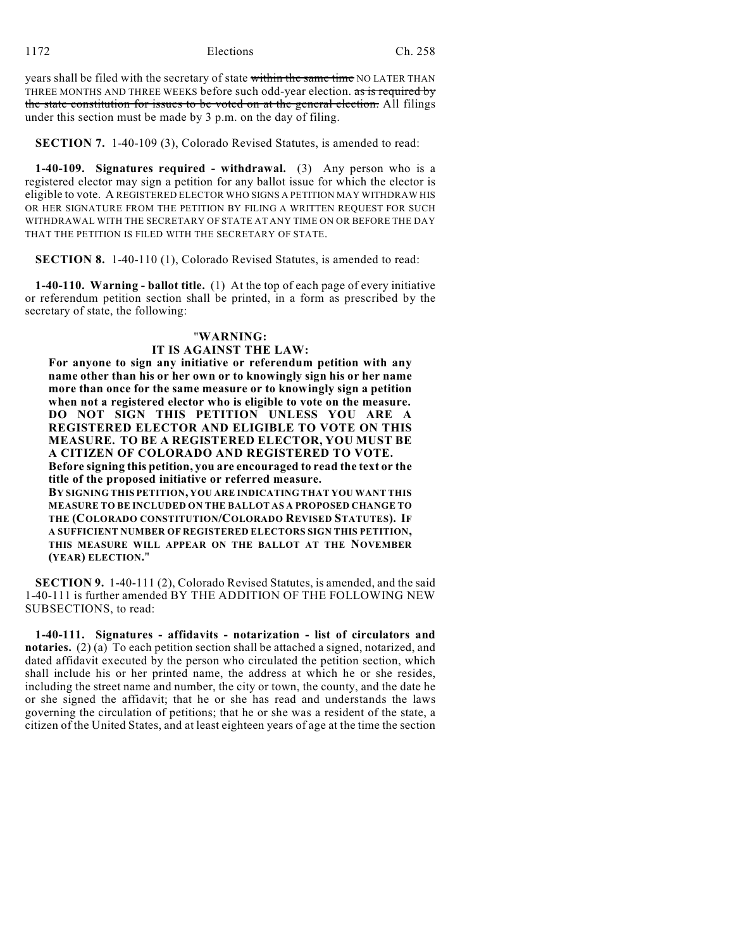years shall be filed with the secretary of state within the same time NO LATER THAN THREE MONTHS AND THREE WEEKS before such odd-year election. as is required by the state constitution for issues to be voted on at the general election. All filings under this section must be made by 3 p.m. on the day of filing.

**SECTION 7.** 1-40-109 (3), Colorado Revised Statutes, is amended to read:

**1-40-109. Signatures required - withdrawal.** (3) Any person who is a registered elector may sign a petition for any ballot issue for which the elector is eligible to vote. A REGISTERED ELECTOR WHO SIGNS A PETITION MAY WITHDRAW HIS OR HER SIGNATURE FROM THE PETITION BY FILING A WRITTEN REQUEST FOR SUCH WITHDRAWAL WITH THE SECRETARY OF STATE AT ANY TIME ON OR BEFORE THE DAY THAT THE PETITION IS FILED WITH THE SECRETARY OF STATE.

**SECTION 8.** 1-40-110 (1), Colorado Revised Statutes, is amended to read:

**1-40-110. Warning - ballot title.** (1) At the top of each page of every initiative or referendum petition section shall be printed, in a form as prescribed by the secretary of state, the following:

### "**WARNING:**

#### **IT IS AGAINST THE LAW:**

**For anyone to sign any initiative or referendum petition with any name other than his or her own or to knowingly sign his or her name more than once for the same measure or to knowingly sign a petition when not a registered elector who is eligible to vote on the measure. DO NOT SIGN THIS PETITION UNLESS YOU ARE A REGISTERED ELECTOR AND ELIGIBLE TO VOTE ON THIS MEASURE. TO BE A REGISTERED ELECTOR, YOU MUST BE A CITIZEN OF COLORADO AND REGISTERED TO VOTE. Before signing this petition, you are encouraged to read the text or the title of the proposed initiative or referred measure.**

**BY SIGNING THIS PETITION, YOU ARE INDICATING THAT YOU WANT THIS MEASURE TO BE INCLUDED ON THE BALLOT AS A PROPOSED CHANGE TO THE (COLORADO CONSTITUTION/COLORADO REVISED STATUTES). IF A SUFFICIENT NUMBER OF REGISTERED ELECTORS SIGN THIS PETITION, THIS MEASURE WILL APPEAR ON THE BALLOT AT THE NOVEMBER (YEAR) ELECTION.**"

**SECTION 9.** 1-40-111 (2), Colorado Revised Statutes, is amended, and the said 1-40-111 is further amended BY THE ADDITION OF THE FOLLOWING NEW SUBSECTIONS, to read:

**1-40-111. Signatures - affidavits - notarization - list of circulators and notaries.** (2) (a) To each petition section shall be attached a signed, notarized, and dated affidavit executed by the person who circulated the petition section, which shall include his or her printed name, the address at which he or she resides, including the street name and number, the city or town, the county, and the date he or she signed the affidavit; that he or she has read and understands the laws governing the circulation of petitions; that he or she was a resident of the state, a citizen of the United States, and at least eighteen years of age at the time the section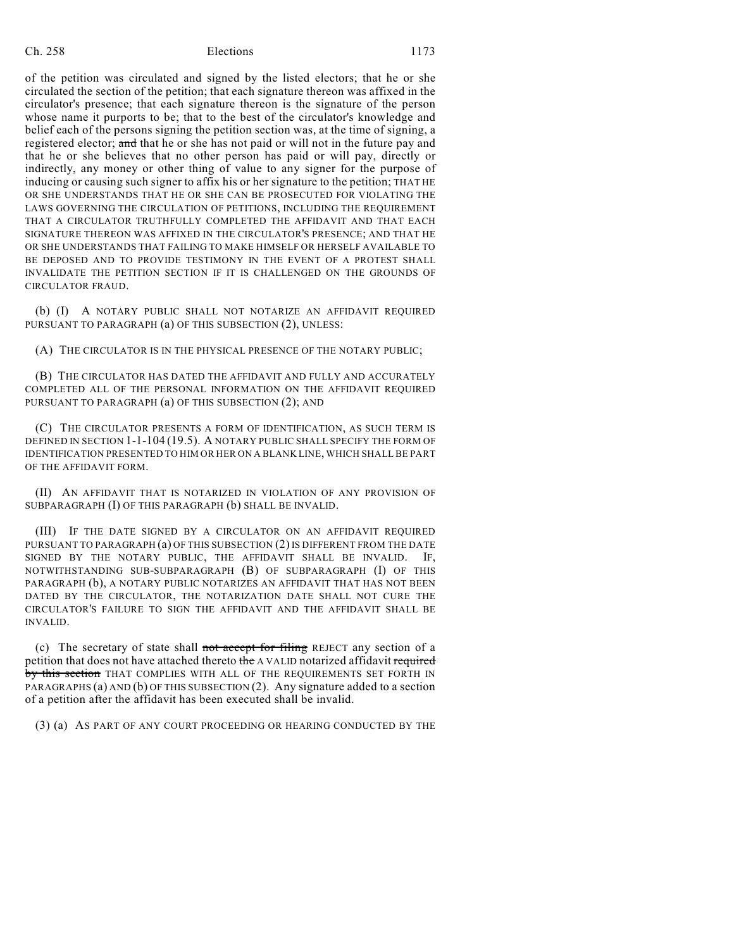of the petition was circulated and signed by the listed electors; that he or she circulated the section of the petition; that each signature thereon was affixed in the circulator's presence; that each signature thereon is the signature of the person whose name it purports to be; that to the best of the circulator's knowledge and belief each of the persons signing the petition section was, at the time of signing, a registered elector; and that he or she has not paid or will not in the future pay and that he or she believes that no other person has paid or will pay, directly or indirectly, any money or other thing of value to any signer for the purpose of inducing or causing such signer to affix his or her signature to the petition; THAT HE OR SHE UNDERSTANDS THAT HE OR SHE CAN BE PROSECUTED FOR VIOLATING THE LAWS GOVERNING THE CIRCULATION OF PETITIONS, INCLUDING THE REQUIREMENT THAT A CIRCULATOR TRUTHFULLY COMPLETED THE AFFIDAVIT AND THAT EACH SIGNATURE THEREON WAS AFFIXED IN THE CIRCULATOR'S PRESENCE; AND THAT HE OR SHE UNDERSTANDS THAT FAILING TO MAKE HIMSELF OR HERSELF AVAILABLE TO BE DEPOSED AND TO PROVIDE TESTIMONY IN THE EVENT OF A PROTEST SHALL INVALIDATE THE PETITION SECTION IF IT IS CHALLENGED ON THE GROUNDS OF CIRCULATOR FRAUD.

(b) (I) A NOTARY PUBLIC SHALL NOT NOTARIZE AN AFFIDAVIT REQUIRED PURSUANT TO PARAGRAPH (a) OF THIS SUBSECTION (2), UNLESS:

(A) THE CIRCULATOR IS IN THE PHYSICAL PRESENCE OF THE NOTARY PUBLIC;

(B) THE CIRCULATOR HAS DATED THE AFFIDAVIT AND FULLY AND ACCURATELY COMPLETED ALL OF THE PERSONAL INFORMATION ON THE AFFIDAVIT REQUIRED PURSUANT TO PARAGRAPH (a) OF THIS SUBSECTION (2); AND

(C) THE CIRCULATOR PRESENTS A FORM OF IDENTIFICATION, AS SUCH TERM IS DEFINED IN SECTION 1-1-104 (19.5). A NOTARY PUBLIC SHALL SPECIFY THE FORM OF IDENTIFICATION PRESENTED TO HIM OR HER ON A BLANK LINE, WHICH SHALL BE PART OF THE AFFIDAVIT FORM.

(II) AN AFFIDAVIT THAT IS NOTARIZED IN VIOLATION OF ANY PROVISION OF SUBPARAGRAPH (I) OF THIS PARAGRAPH (b) SHALL BE INVALID.

(III) IF THE DATE SIGNED BY A CIRCULATOR ON AN AFFIDAVIT REQUIRED PURSUANT TO PARAGRAPH (a) OF THIS SUBSECTION (2) IS DIFFERENT FROM THE DATE SIGNED BY THE NOTARY PUBLIC, THE AFFIDAVIT SHALL BE INVALID. IF, NOTWITHSTANDING SUB-SUBPARAGRAPH (B) OF SUBPARAGRAPH (I) OF THIS PARAGRAPH (b), A NOTARY PUBLIC NOTARIZES AN AFFIDAVIT THAT HAS NOT BEEN DATED BY THE CIRCULATOR, THE NOTARIZATION DATE SHALL NOT CURE THE CIRCULATOR'S FAILURE TO SIGN THE AFFIDAVIT AND THE AFFIDAVIT SHALL BE INVALID.

(c) The secretary of state shall not accept for filing REJECT any section of a petition that does not have attached thereto the A VALID notarized affidavit required by this section THAT COMPLIES WITH ALL OF THE REQUIREMENTS SET FORTH IN PARAGRAPHS (a) AND (b) OF THIS SUBSECTION (2). Any signature added to a section of a petition after the affidavit has been executed shall be invalid.

(3) (a) AS PART OF ANY COURT PROCEEDING OR HEARING CONDUCTED BY THE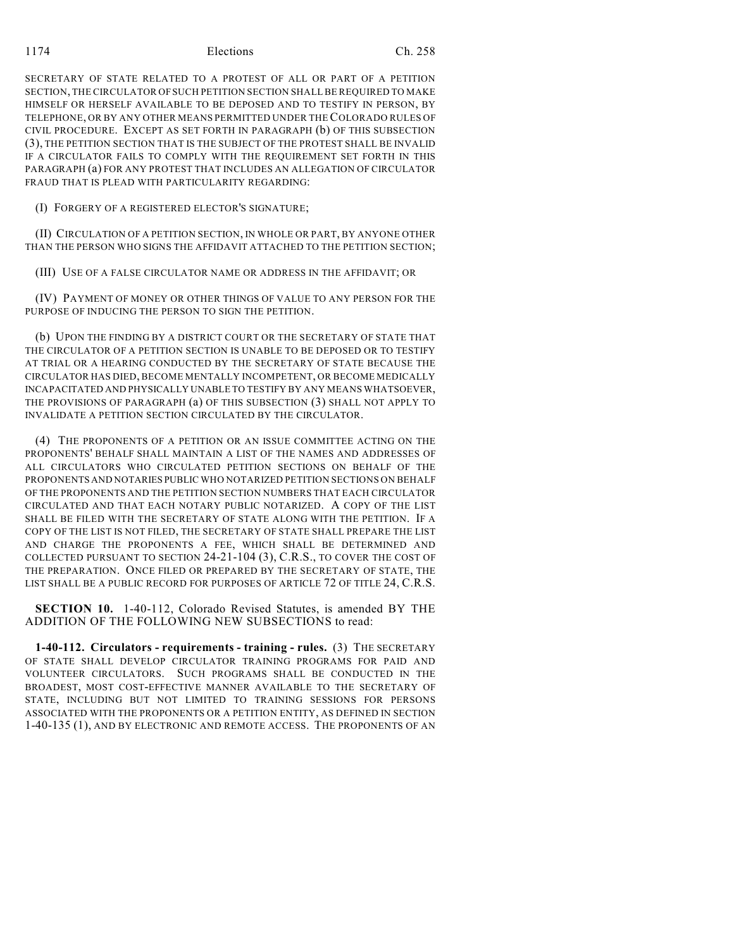#### 1174 Elections Ch. 258

SECRETARY OF STATE RELATED TO A PROTEST OF ALL OR PART OF A PETITION SECTION, THE CIRCULATOR OF SUCH PETITION SECTION SHALL BE REQUIRED TO MAKE HIMSELF OR HERSELF AVAILABLE TO BE DEPOSED AND TO TESTIFY IN PERSON, BY TELEPHONE, OR BY ANY OTHER MEANS PERMITTED UNDER THE COLORADO RULES OF CIVIL PROCEDURE. EXCEPT AS SET FORTH IN PARAGRAPH (b) OF THIS SUBSECTION (3), THE PETITION SECTION THAT IS THE SUBJECT OF THE PROTEST SHALL BE INVALID IF A CIRCULATOR FAILS TO COMPLY WITH THE REQUIREMENT SET FORTH IN THIS PARAGRAPH (a) FOR ANY PROTEST THAT INCLUDES AN ALLEGATION OF CIRCULATOR FRAUD THAT IS PLEAD WITH PARTICULARITY REGARDING:

(I) FORGERY OF A REGISTERED ELECTOR'S SIGNATURE;

(II) CIRCULATION OF A PETITION SECTION, IN WHOLE OR PART, BY ANYONE OTHER THAN THE PERSON WHO SIGNS THE AFFIDAVIT ATTACHED TO THE PETITION SECTION;

(III) USE OF A FALSE CIRCULATOR NAME OR ADDRESS IN THE AFFIDAVIT; OR

(IV) PAYMENT OF MONEY OR OTHER THINGS OF VALUE TO ANY PERSON FOR THE PURPOSE OF INDUCING THE PERSON TO SIGN THE PETITION.

(b) UPON THE FINDING BY A DISTRICT COURT OR THE SECRETARY OF STATE THAT THE CIRCULATOR OF A PETITION SECTION IS UNABLE TO BE DEPOSED OR TO TESTIFY AT TRIAL OR A HEARING CONDUCTED BY THE SECRETARY OF STATE BECAUSE THE CIRCULATOR HAS DIED, BECOME MENTALLY INCOMPETENT, OR BECOME MEDICALLY INCAPACITATED AND PHYSICALLY UNABLE TO TESTIFY BY ANY MEANS WHATSOEVER, THE PROVISIONS OF PARAGRAPH (a) OF THIS SUBSECTION (3) SHALL NOT APPLY TO INVALIDATE A PETITION SECTION CIRCULATED BY THE CIRCULATOR.

(4) THE PROPONENTS OF A PETITION OR AN ISSUE COMMITTEE ACTING ON THE PROPONENTS' BEHALF SHALL MAINTAIN A LIST OF THE NAMES AND ADDRESSES OF ALL CIRCULATORS WHO CIRCULATED PETITION SECTIONS ON BEHALF OF THE PROPONENTS AND NOTARIES PUBLIC WHO NOTARIZED PETITION SECTIONS ON BEHALF OF THE PROPONENTS AND THE PETITION SECTION NUMBERS THAT EACH CIRCULATOR CIRCULATED AND THAT EACH NOTARY PUBLIC NOTARIZED. A COPY OF THE LIST SHALL BE FILED WITH THE SECRETARY OF STATE ALONG WITH THE PETITION. IF A COPY OF THE LIST IS NOT FILED, THE SECRETARY OF STATE SHALL PREPARE THE LIST AND CHARGE THE PROPONENTS A FEE, WHICH SHALL BE DETERMINED AND COLLECTED PURSUANT TO SECTION 24-21-104 (3), C.R.S., TO COVER THE COST OF THE PREPARATION. ONCE FILED OR PREPARED BY THE SECRETARY OF STATE, THE LIST SHALL BE A PUBLIC RECORD FOR PURPOSES OF ARTICLE 72 OF TITLE 24, C.R.S.

**SECTION 10.** 1-40-112, Colorado Revised Statutes, is amended BY THE ADDITION OF THE FOLLOWING NEW SUBSECTIONS to read:

**1-40-112. Circulators - requirements - training - rules.** (3) THE SECRETARY OF STATE SHALL DEVELOP CIRCULATOR TRAINING PROGRAMS FOR PAID AND VOLUNTEER CIRCULATORS. SUCH PROGRAMS SHALL BE CONDUCTED IN THE BROADEST, MOST COST-EFFECTIVE MANNER AVAILABLE TO THE SECRETARY OF STATE, INCLUDING BUT NOT LIMITED TO TRAINING SESSIONS FOR PERSONS ASSOCIATED WITH THE PROPONENTS OR A PETITION ENTITY, AS DEFINED IN SECTION 1-40-135 (1), AND BY ELECTRONIC AND REMOTE ACCESS. THE PROPONENTS OF AN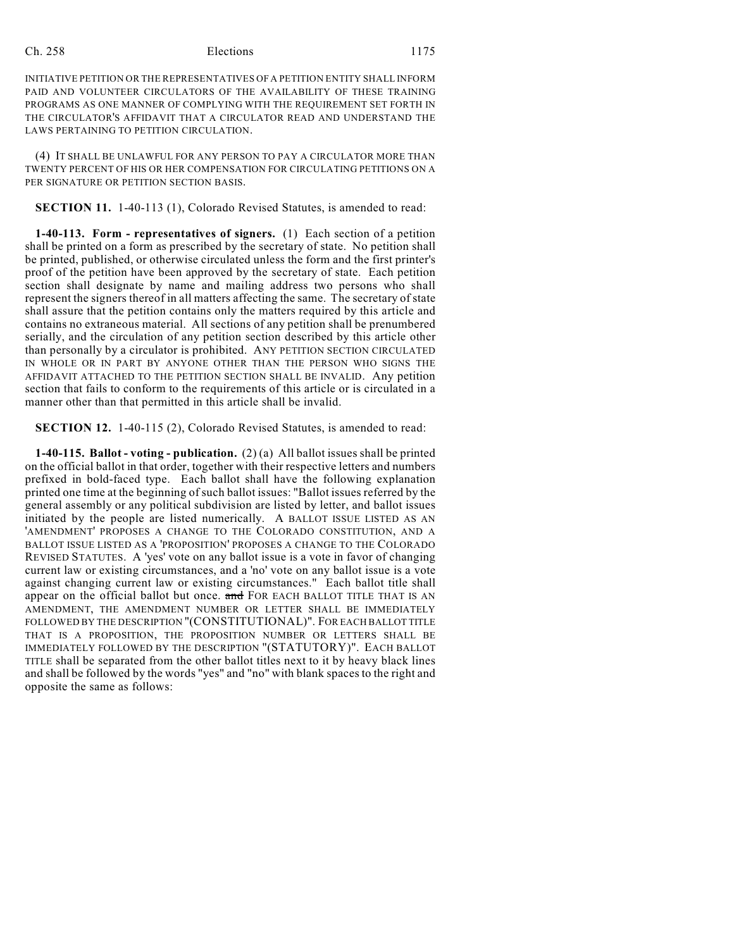INITIATIVE PETITION OR THE REPRESENTATIVES OF A PETITION ENTITY SHALL INFORM PAID AND VOLUNTEER CIRCULATORS OF THE AVAILABILITY OF THESE TRAINING PROGRAMS AS ONE MANNER OF COMPLYING WITH THE REQUIREMENT SET FORTH IN THE CIRCULATOR'S AFFIDAVIT THAT A CIRCULATOR READ AND UNDERSTAND THE LAWS PERTAINING TO PETITION CIRCULATION.

(4) IT SHALL BE UNLAWFUL FOR ANY PERSON TO PAY A CIRCULATOR MORE THAN TWENTY PERCENT OF HIS OR HER COMPENSATION FOR CIRCULATING PETITIONS ON A PER SIGNATURE OR PETITION SECTION BASIS.

**SECTION 11.** 1-40-113 (1), Colorado Revised Statutes, is amended to read:

**1-40-113. Form - representatives of signers.** (1) Each section of a petition shall be printed on a form as prescribed by the secretary of state. No petition shall be printed, published, or otherwise circulated unless the form and the first printer's proof of the petition have been approved by the secretary of state. Each petition section shall designate by name and mailing address two persons who shall represent the signers thereof in all matters affecting the same. The secretary of state shall assure that the petition contains only the matters required by this article and contains no extraneous material. All sections of any petition shall be prenumbered serially, and the circulation of any petition section described by this article other than personally by a circulator is prohibited. ANY PETITION SECTION CIRCULATED IN WHOLE OR IN PART BY ANYONE OTHER THAN THE PERSON WHO SIGNS THE AFFIDAVIT ATTACHED TO THE PETITION SECTION SHALL BE INVALID. Any petition section that fails to conform to the requirements of this article or is circulated in a manner other than that permitted in this article shall be invalid.

**SECTION 12.** 1-40-115 (2), Colorado Revised Statutes, is amended to read:

**1-40-115. Ballot - voting - publication.** (2) (a) All ballot issues shall be printed on the official ballot in that order, together with their respective letters and numbers prefixed in bold-faced type. Each ballot shall have the following explanation printed one time at the beginning of such ballot issues: "Ballot issues referred by the general assembly or any political subdivision are listed by letter, and ballot issues initiated by the people are listed numerically. A BALLOT ISSUE LISTED AS AN 'AMENDMENT' PROPOSES A CHANGE TO THE COLORADO CONSTITUTION, AND A BALLOT ISSUE LISTED AS A 'PROPOSITION' PROPOSES A CHANGE TO THE COLORADO REVISED STATUTES. A 'yes' vote on any ballot issue is a vote in favor of changing current law or existing circumstances, and a 'no' vote on any ballot issue is a vote against changing current law or existing circumstances." Each ballot title shall appear on the official ballot but once. and FOR EACH BALLOT TITLE THAT IS AN AMENDMENT, THE AMENDMENT NUMBER OR LETTER SHALL BE IMMEDIATELY FOLLOWED BY THE DESCRIPTION "(CONSTITUTIONAL)". FOR EACH BALLOT TITLE THAT IS A PROPOSITION, THE PROPOSITION NUMBER OR LETTERS SHALL BE IMMEDIATELY FOLLOWED BY THE DESCRIPTION "(STATUTORY)". EACH BALLOT TITLE shall be separated from the other ballot titles next to it by heavy black lines and shall be followed by the words "yes" and "no" with blank spacesto the right and opposite the same as follows: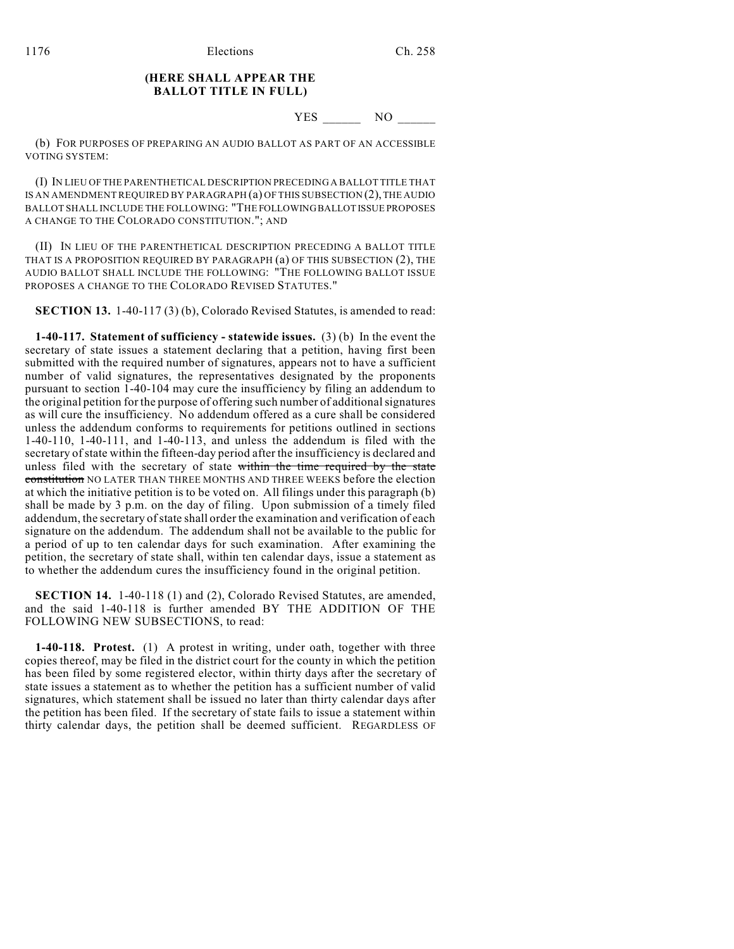### **(HERE SHALL APPEAR THE BALLOT TITLE IN FULL)**

## YES \_\_\_\_\_\_ NO \_\_\_\_\_\_

(b) FOR PURPOSES OF PREPARING AN AUDIO BALLOT AS PART OF AN ACCESSIBLE VOTING SYSTEM:

(I) IN LIEU OF THE PARENTHETICAL DESCRIPTION PRECEDING A BALLOT TITLE THAT IS AN AMENDMENT REQUIRED BY PARAGRAPH (a) OF THIS SUBSECTION (2), THE AUDIO BALLOT SHALL INCLUDE THE FOLLOWING: "THE FOLLOWING BALLOT ISSUE PROPOSES A CHANGE TO THE COLORADO CONSTITUTION."; AND

(II) IN LIEU OF THE PARENTHETICAL DESCRIPTION PRECEDING A BALLOT TITLE THAT IS A PROPOSITION REQUIRED BY PARAGRAPH (a) OF THIS SUBSECTION (2), THE AUDIO BALLOT SHALL INCLUDE THE FOLLOWING: "THE FOLLOWING BALLOT ISSUE PROPOSES A CHANGE TO THE COLORADO REVISED STATUTES."

**SECTION 13.** 1-40-117 (3) (b), Colorado Revised Statutes, is amended to read:

**1-40-117. Statement of sufficiency - statewide issues.** (3) (b) In the event the secretary of state issues a statement declaring that a petition, having first been submitted with the required number of signatures, appears not to have a sufficient number of valid signatures, the representatives designated by the proponents pursuant to section 1-40-104 may cure the insufficiency by filing an addendum to the original petition for the purpose of offering such number of additional signatures as will cure the insufficiency. No addendum offered as a cure shall be considered unless the addendum conforms to requirements for petitions outlined in sections 1-40-110, 1-40-111, and 1-40-113, and unless the addendum is filed with the secretary of state within the fifteen-day period after the insufficiency is declared and unless filed with the secretary of state within the time required by the state constitution NO LATER THAN THREE MONTHS AND THREE WEEKS before the election at which the initiative petition is to be voted on. All filings under this paragraph (b) shall be made by 3 p.m. on the day of filing. Upon submission of a timely filed addendum, the secretary of state shall order the examination and verification of each signature on the addendum. The addendum shall not be available to the public for a period of up to ten calendar days for such examination. After examining the petition, the secretary of state shall, within ten calendar days, issue a statement as to whether the addendum cures the insufficiency found in the original petition.

**SECTION 14.** 1-40-118 (1) and (2), Colorado Revised Statutes, are amended, and the said 1-40-118 is further amended BY THE ADDITION OF THE FOLLOWING NEW SUBSECTIONS, to read:

**1-40-118. Protest.** (1) A protest in writing, under oath, together with three copies thereof, may be filed in the district court for the county in which the petition has been filed by some registered elector, within thirty days after the secretary of state issues a statement as to whether the petition has a sufficient number of valid signatures, which statement shall be issued no later than thirty calendar days after the petition has been filed. If the secretary of state fails to issue a statement within thirty calendar days, the petition shall be deemed sufficient. REGARDLESS OF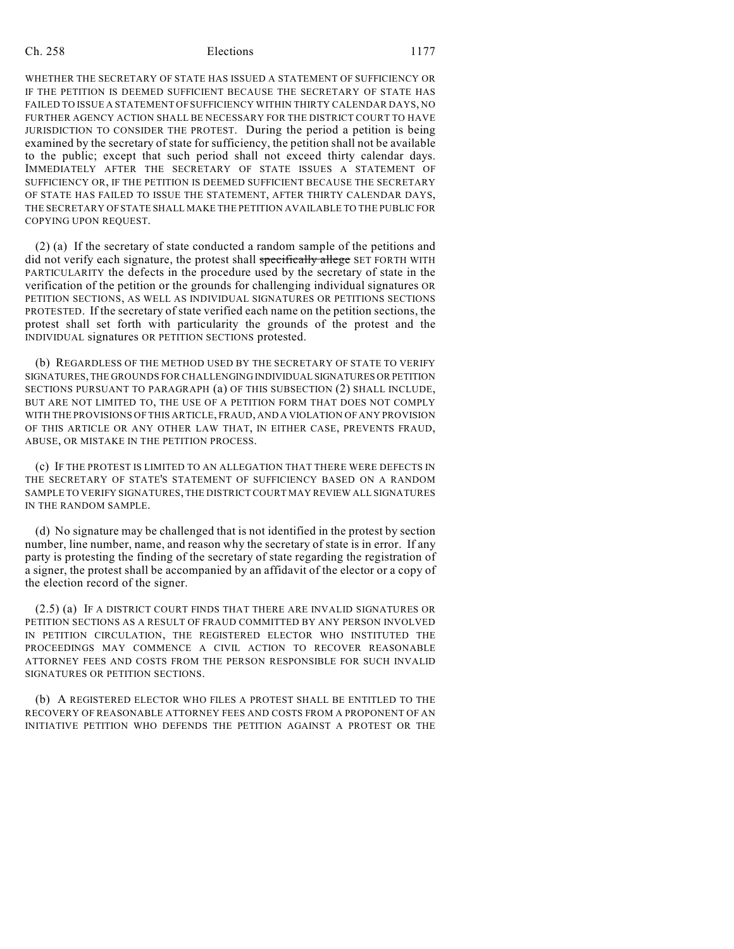WHETHER THE SECRETARY OF STATE HAS ISSUED A STATEMENT OF SUFFICIENCY OR IF THE PETITION IS DEEMED SUFFICIENT BECAUSE THE SECRETARY OF STATE HAS FAILED TO ISSUE A STATEMENT OF SUFFICIENCY WITHIN THIRTY CALENDAR DAYS, NO FURTHER AGENCY ACTION SHALL BE NECESSARY FOR THE DISTRICT COURT TO HAVE JURISDICTION TO CONSIDER THE PROTEST. During the period a petition is being examined by the secretary of state for sufficiency, the petition shall not be available to the public; except that such period shall not exceed thirty calendar days. IMMEDIATELY AFTER THE SECRETARY OF STATE ISSUES A STATEMENT OF SUFFICIENCY OR, IF THE PETITION IS DEEMED SUFFICIENT BECAUSE THE SECRETARY OF STATE HAS FAILED TO ISSUE THE STATEMENT, AFTER THIRTY CALENDAR DAYS, THE SECRETARY OF STATE SHALL MAKE THE PETITION AVAILABLE TO THE PUBLIC FOR COPYING UPON REQUEST.

(2) (a) If the secretary of state conducted a random sample of the petitions and did not verify each signature, the protest shall specifically allege SET FORTH WITH PARTICULARITY the defects in the procedure used by the secretary of state in the verification of the petition or the grounds for challenging individual signatures OR PETITION SECTIONS, AS WELL AS INDIVIDUAL SIGNATURES OR PETITIONS SECTIONS PROTESTED. If the secretary of state verified each name on the petition sections, the protest shall set forth with particularity the grounds of the protest and the INDIVIDUAL signatures OR PETITION SECTIONS protested.

(b) REGARDLESS OF THE METHOD USED BY THE SECRETARY OF STATE TO VERIFY SIGNATURES, THE GROUNDS FOR CHALLENGING INDIVIDUAL SIGNATURES OR PETITION SECTIONS PURSUANT TO PARAGRAPH (a) OF THIS SUBSECTION (2) SHALL INCLUDE, BUT ARE NOT LIMITED TO, THE USE OF A PETITION FORM THAT DOES NOT COMPLY WITH THE PROVISIONS OF THIS ARTICLE, FRAUD, AND A VIOLATION OF ANY PROVISION OF THIS ARTICLE OR ANY OTHER LAW THAT, IN EITHER CASE, PREVENTS FRAUD, ABUSE, OR MISTAKE IN THE PETITION PROCESS.

(c) IF THE PROTEST IS LIMITED TO AN ALLEGATION THAT THERE WERE DEFECTS IN THE SECRETARY OF STATE'S STATEMENT OF SUFFICIENCY BASED ON A RANDOM SAMPLE TO VERIFY SIGNATURES, THE DISTRICT COURT MAY REVIEW ALL SIGNATURES IN THE RANDOM SAMPLE.

(d) No signature may be challenged that is not identified in the protest by section number, line number, name, and reason why the secretary of state is in error. If any party is protesting the finding of the secretary of state regarding the registration of a signer, the protest shall be accompanied by an affidavit of the elector or a copy of the election record of the signer.

(2.5) (a) IF A DISTRICT COURT FINDS THAT THERE ARE INVALID SIGNATURES OR PETITION SECTIONS AS A RESULT OF FRAUD COMMITTED BY ANY PERSON INVOLVED IN PETITION CIRCULATION, THE REGISTERED ELECTOR WHO INSTITUTED THE PROCEEDINGS MAY COMMENCE A CIVIL ACTION TO RECOVER REASONABLE ATTORNEY FEES AND COSTS FROM THE PERSON RESPONSIBLE FOR SUCH INVALID SIGNATURES OR PETITION SECTIONS.

(b) A REGISTERED ELECTOR WHO FILES A PROTEST SHALL BE ENTITLED TO THE RECOVERY OF REASONABLE ATTORNEY FEES AND COSTS FROM A PROPONENT OF AN INITIATIVE PETITION WHO DEFENDS THE PETITION AGAINST A PROTEST OR THE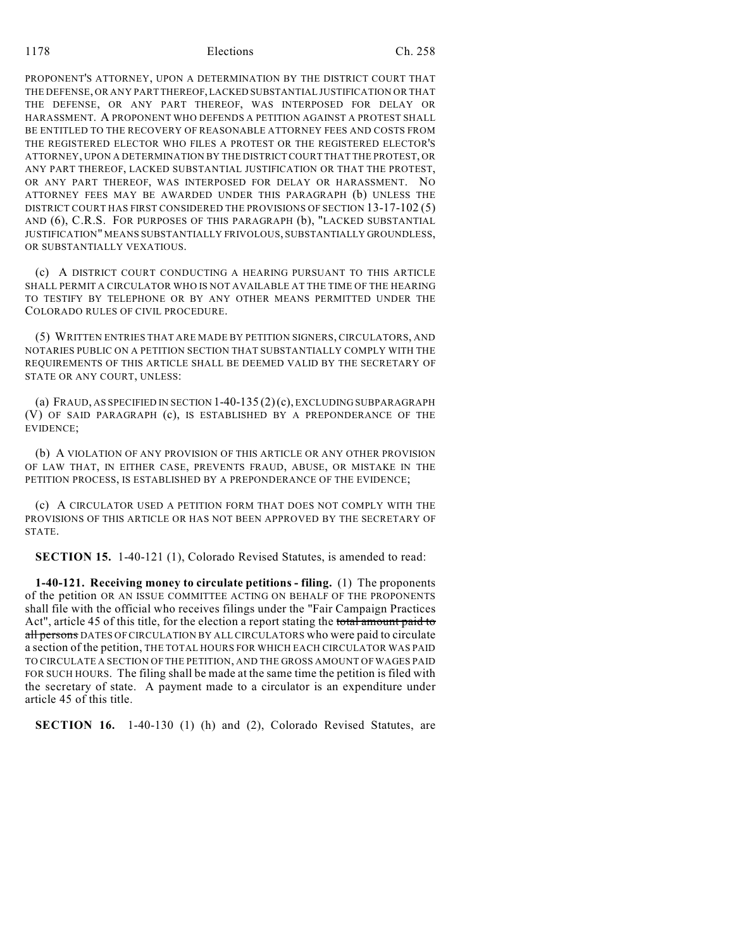1178 Elections Ch. 258

PROPONENT'S ATTORNEY, UPON A DETERMINATION BY THE DISTRICT COURT THAT THE DEFENSE, OR ANY PART THEREOF, LACKED SUBSTANTIAL JUSTIFICATION OR THAT THE DEFENSE, OR ANY PART THEREOF, WAS INTERPOSED FOR DELAY OR HARASSMENT. A PROPONENT WHO DEFENDS A PETITION AGAINST A PROTEST SHALL BE ENTITLED TO THE RECOVERY OF REASONABLE ATTORNEY FEES AND COSTS FROM THE REGISTERED ELECTOR WHO FILES A PROTEST OR THE REGISTERED ELECTOR'S ATTORNEY, UPON A DETERMINATION BY THE DISTRICT COURT THAT THE PROTEST, OR ANY PART THEREOF, LACKED SUBSTANTIAL JUSTIFICATION OR THAT THE PROTEST, OR ANY PART THEREOF, WAS INTERPOSED FOR DELAY OR HARASSMENT. NO ATTORNEY FEES MAY BE AWARDED UNDER THIS PARAGRAPH (b) UNLESS THE DISTRICT COURT HAS FIRST CONSIDERED THE PROVISIONS OF SECTION 13-17-102 (5) AND (6), C.R.S. FOR PURPOSES OF THIS PARAGRAPH (b), "LACKED SUBSTANTIAL JUSTIFICATION" MEANS SUBSTANTIALLY FRIVOLOUS, SUBSTANTIALLY GROUNDLESS, OR SUBSTANTIALLY VEXATIOUS.

(c) A DISTRICT COURT CONDUCTING A HEARING PURSUANT TO THIS ARTICLE SHALL PERMIT A CIRCULATOR WHO IS NOT AVAILABLE AT THE TIME OF THE HEARING TO TESTIFY BY TELEPHONE OR BY ANY OTHER MEANS PERMITTED UNDER THE COLORADO RULES OF CIVIL PROCEDURE.

(5) WRITTEN ENTRIES THAT ARE MADE BY PETITION SIGNERS, CIRCULATORS, AND NOTARIES PUBLIC ON A PETITION SECTION THAT SUBSTANTIALLY COMPLY WITH THE REQUIREMENTS OF THIS ARTICLE SHALL BE DEEMED VALID BY THE SECRETARY OF STATE OR ANY COURT, UNLESS:

(a) FRAUD, AS SPECIFIED IN SECTION 1-40-135 (2)(c), EXCLUDING SUBPARAGRAPH (V) OF SAID PARAGRAPH (c), IS ESTABLISHED BY A PREPONDERANCE OF THE EVIDENCE;

(b) A VIOLATION OF ANY PROVISION OF THIS ARTICLE OR ANY OTHER PROVISION OF LAW THAT, IN EITHER CASE, PREVENTS FRAUD, ABUSE, OR MISTAKE IN THE PETITION PROCESS, IS ESTABLISHED BY A PREPONDERANCE OF THE EVIDENCE;

(c) A CIRCULATOR USED A PETITION FORM THAT DOES NOT COMPLY WITH THE PROVISIONS OF THIS ARTICLE OR HAS NOT BEEN APPROVED BY THE SECRETARY OF STATE.

**SECTION 15.** 1-40-121 (1), Colorado Revised Statutes, is amended to read:

**1-40-121. Receiving money to circulate petitions - filing.** (1) The proponents of the petition OR AN ISSUE COMMITTEE ACTING ON BEHALF OF THE PROPONENTS shall file with the official who receives filings under the "Fair Campaign Practices Act", article 45 of this title, for the election a report stating the total amount paid to all persons DATES OF CIRCULATION BY ALL CIRCULATORS who were paid to circulate a section of the petition, THE TOTAL HOURS FOR WHICH EACH CIRCULATOR WAS PAID TO CIRCULATE A SECTION OF THE PETITION, AND THE GROSS AMOUNT OF WAGES PAID FOR SUCH HOURS. The filing shall be made at the same time the petition is filed with the secretary of state. A payment made to a circulator is an expenditure under article 45 of this title.

**SECTION 16.** 1-40-130 (1) (h) and (2), Colorado Revised Statutes, are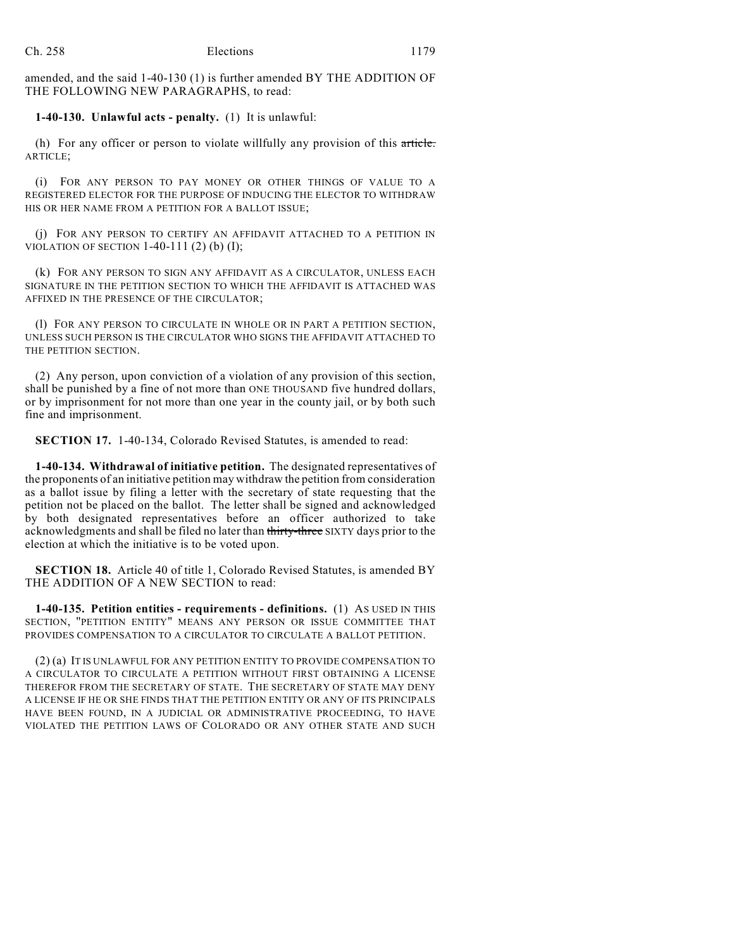amended, and the said 1-40-130 (1) is further amended BY THE ADDITION OF THE FOLLOWING NEW PARAGRAPHS, to read:

#### **1-40-130. Unlawful acts - penalty.** (1) It is unlawful:

(h) For any officer or person to violate willfully any provision of this article. ARTICLE;

(i) FOR ANY PERSON TO PAY MONEY OR OTHER THINGS OF VALUE TO A REGISTERED ELECTOR FOR THE PURPOSE OF INDUCING THE ELECTOR TO WITHDRAW HIS OR HER NAME FROM A PETITION FOR A BALLOT ISSUE;

(j) FOR ANY PERSON TO CERTIFY AN AFFIDAVIT ATTACHED TO A PETITION IN VIOLATION OF SECTION  $1-40-111$  (2) (b) (I);

(k) FOR ANY PERSON TO SIGN ANY AFFIDAVIT AS A CIRCULATOR, UNLESS EACH SIGNATURE IN THE PETITION SECTION TO WHICH THE AFFIDAVIT IS ATTACHED WAS AFFIXED IN THE PRESENCE OF THE CIRCULATOR;

(l) FOR ANY PERSON TO CIRCULATE IN WHOLE OR IN PART A PETITION SECTION, UNLESS SUCH PERSON IS THE CIRCULATOR WHO SIGNS THE AFFIDAVIT ATTACHED TO THE PETITION SECTION.

(2) Any person, upon conviction of a violation of any provision of this section, shall be punished by a fine of not more than ONE THOUSAND five hundred dollars, or by imprisonment for not more than one year in the county jail, or by both such fine and imprisonment.

**SECTION 17.** 1-40-134, Colorado Revised Statutes, is amended to read:

**1-40-134. Withdrawal of initiative petition.** The designated representatives of the proponents of an initiative petition may withdraw the petition from consideration as a ballot issue by filing a letter with the secretary of state requesting that the petition not be placed on the ballot. The letter shall be signed and acknowledged by both designated representatives before an officer authorized to take acknowledgments and shall be filed no later than thirty-three SIXTY days prior to the election at which the initiative is to be voted upon.

**SECTION 18.** Article 40 of title 1, Colorado Revised Statutes, is amended BY THE ADDITION OF A NEW SECTION to read:

**1-40-135. Petition entities - requirements - definitions.** (1) AS USED IN THIS SECTION, "PETITION ENTITY" MEANS ANY PERSON OR ISSUE COMMITTEE THAT PROVIDES COMPENSATION TO A CIRCULATOR TO CIRCULATE A BALLOT PETITION.

(2) (a) IT IS UNLAWFUL FOR ANY PETITION ENTITY TO PROVIDE COMPENSATION TO A CIRCULATOR TO CIRCULATE A PETITION WITHOUT FIRST OBTAINING A LICENSE THEREFOR FROM THE SECRETARY OF STATE. THE SECRETARY OF STATE MAY DENY A LICENSE IF HE OR SHE FINDS THAT THE PETITION ENTITY OR ANY OF ITS PRINCIPALS HAVE BEEN FOUND, IN A JUDICIAL OR ADMINISTRATIVE PROCEEDING, TO HAVE VIOLATED THE PETITION LAWS OF COLORADO OR ANY OTHER STATE AND SUCH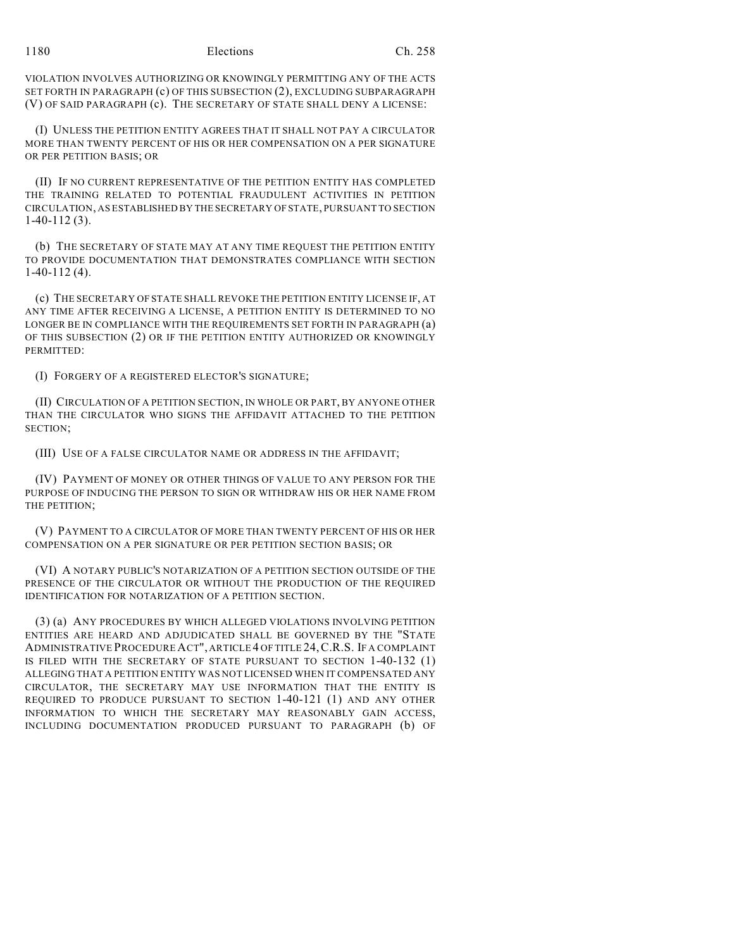VIOLATION INVOLVES AUTHORIZING OR KNOWINGLY PERMITTING ANY OF THE ACTS SET FORTH IN PARAGRAPH (c) OF THIS SUBSECTION (2), EXCLUDING SUBPARAGRAPH (V) OF SAID PARAGRAPH (c). THE SECRETARY OF STATE SHALL DENY A LICENSE:

(I) UNLESS THE PETITION ENTITY AGREES THAT IT SHALL NOT PAY A CIRCULATOR MORE THAN TWENTY PERCENT OF HIS OR HER COMPENSATION ON A PER SIGNATURE OR PER PETITION BASIS; OR

(II) IF NO CURRENT REPRESENTATIVE OF THE PETITION ENTITY HAS COMPLETED THE TRAINING RELATED TO POTENTIAL FRAUDULENT ACTIVITIES IN PETITION CIRCULATION, AS ESTABLISHED BY THE SECRETARY OF STATE, PURSUANT TO SECTION 1-40-112 (3).

(b) THE SECRETARY OF STATE MAY AT ANY TIME REQUEST THE PETITION ENTITY TO PROVIDE DOCUMENTATION THAT DEMONSTRATES COMPLIANCE WITH SECTION 1-40-112 (4).

(c) THE SECRETARY OF STATE SHALL REVOKE THE PETITION ENTITY LICENSE IF, AT ANY TIME AFTER RECEIVING A LICENSE, A PETITION ENTITY IS DETERMINED TO NO LONGER BE IN COMPLIANCE WITH THE REQUIREMENTS SET FORTH IN PARAGRAPH (a) OF THIS SUBSECTION (2) OR IF THE PETITION ENTITY AUTHORIZED OR KNOWINGLY PERMITTED:

(I) FORGERY OF A REGISTERED ELECTOR'S SIGNATURE;

(II) CIRCULATION OF A PETITION SECTION, IN WHOLE OR PART, BY ANYONE OTHER THAN THE CIRCULATOR WHO SIGNS THE AFFIDAVIT ATTACHED TO THE PETITION SECTION;

(III) USE OF A FALSE CIRCULATOR NAME OR ADDRESS IN THE AFFIDAVIT;

(IV) PAYMENT OF MONEY OR OTHER THINGS OF VALUE TO ANY PERSON FOR THE PURPOSE OF INDUCING THE PERSON TO SIGN OR WITHDRAW HIS OR HER NAME FROM THE PETITION;

(V) PAYMENT TO A CIRCULATOR OF MORE THAN TWENTY PERCENT OF HIS OR HER COMPENSATION ON A PER SIGNATURE OR PER PETITION SECTION BASIS; OR

(VI) A NOTARY PUBLIC'S NOTARIZATION OF A PETITION SECTION OUTSIDE OF THE PRESENCE OF THE CIRCULATOR OR WITHOUT THE PRODUCTION OF THE REQUIRED IDENTIFICATION FOR NOTARIZATION OF A PETITION SECTION.

(3) (a) ANY PROCEDURES BY WHICH ALLEGED VIOLATIONS INVOLVING PETITION ENTITIES ARE HEARD AND ADJUDICATED SHALL BE GOVERNED BY THE "STATE ADMINISTRATIVE PROCEDURE ACT", ARTICLE 4 OF TITLE 24,C.R.S. IF A COMPLAINT IS FILED WITH THE SECRETARY OF STATE PURSUANT TO SECTION 1-40-132 (1) ALLEGING THAT A PETITION ENTITY WAS NOT LICENSED WHEN IT COMPENSATED ANY CIRCULATOR, THE SECRETARY MAY USE INFORMATION THAT THE ENTITY IS REQUIRED TO PRODUCE PURSUANT TO SECTION 1-40-121 (1) AND ANY OTHER INFORMATION TO WHICH THE SECRETARY MAY REASONABLY GAIN ACCESS, INCLUDING DOCUMENTATION PRODUCED PURSUANT TO PARAGRAPH (b) OF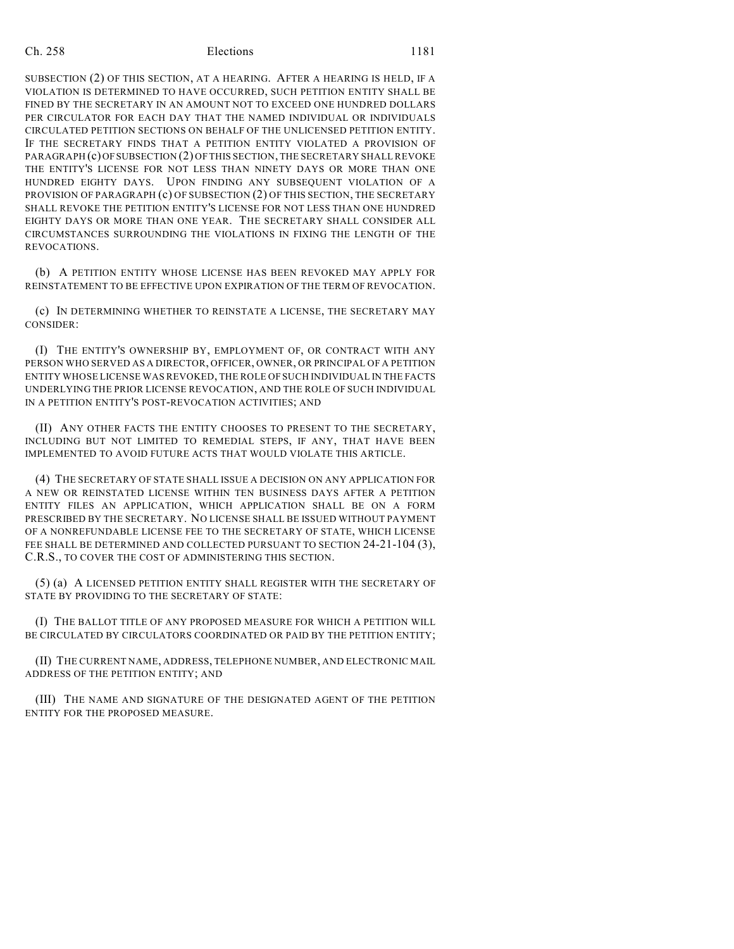SUBSECTION (2) OF THIS SECTION, AT A HEARING. AFTER A HEARING IS HELD, IF A VIOLATION IS DETERMINED TO HAVE OCCURRED, SUCH PETITION ENTITY SHALL BE FINED BY THE SECRETARY IN AN AMOUNT NOT TO EXCEED ONE HUNDRED DOLLARS PER CIRCULATOR FOR EACH DAY THAT THE NAMED INDIVIDUAL OR INDIVIDUALS CIRCULATED PETITION SECTIONS ON BEHALF OF THE UNLICENSED PETITION ENTITY. IF THE SECRETARY FINDS THAT A PETITION ENTITY VIOLATED A PROVISION OF PARAGRAPH (c) OF SUBSECTION (2) OF THIS SECTION, THE SECRETARY SHALL REVOKE THE ENTITY'S LICENSE FOR NOT LESS THAN NINETY DAYS OR MORE THAN ONE HUNDRED EIGHTY DAYS. UPON FINDING ANY SUBSEQUENT VIOLATION OF A PROVISION OF PARAGRAPH (c) OF SUBSECTION (2) OF THIS SECTION, THE SECRETARY SHALL REVOKE THE PETITION ENTITY'S LICENSE FOR NOT LESS THAN ONE HUNDRED EIGHTY DAYS OR MORE THAN ONE YEAR. THE SECRETARY SHALL CONSIDER ALL CIRCUMSTANCES SURROUNDING THE VIOLATIONS IN FIXING THE LENGTH OF THE REVOCATIONS.

(b) A PETITION ENTITY WHOSE LICENSE HAS BEEN REVOKED MAY APPLY FOR REINSTATEMENT TO BE EFFECTIVE UPON EXPIRATION OF THE TERM OF REVOCATION.

(c) IN DETERMINING WHETHER TO REINSTATE A LICENSE, THE SECRETARY MAY CONSIDER:

(I) THE ENTITY'S OWNERSHIP BY, EMPLOYMENT OF, OR CONTRACT WITH ANY PERSON WHO SERVED AS A DIRECTOR, OFFICER, OWNER, OR PRINCIPAL OF A PETITION ENTITY WHOSE LICENSE WAS REVOKED, THE ROLE OF SUCH INDIVIDUAL IN THE FACTS UNDERLYING THE PRIOR LICENSE REVOCATION, AND THE ROLE OF SUCH INDIVIDUAL IN A PETITION ENTITY'S POST-REVOCATION ACTIVITIES; AND

(II) ANY OTHER FACTS THE ENTITY CHOOSES TO PRESENT TO THE SECRETARY, INCLUDING BUT NOT LIMITED TO REMEDIAL STEPS, IF ANY, THAT HAVE BEEN IMPLEMENTED TO AVOID FUTURE ACTS THAT WOULD VIOLATE THIS ARTICLE.

(4) THE SECRETARY OF STATE SHALL ISSUE A DECISION ON ANY APPLICATION FOR A NEW OR REINSTATED LICENSE WITHIN TEN BUSINESS DAYS AFTER A PETITION ENTITY FILES AN APPLICATION, WHICH APPLICATION SHALL BE ON A FORM PRESCRIBED BY THE SECRETARY. NO LICENSE SHALL BE ISSUED WITHOUT PAYMENT OF A NONREFUNDABLE LICENSE FEE TO THE SECRETARY OF STATE, WHICH LICENSE FEE SHALL BE DETERMINED AND COLLECTED PURSUANT TO SECTION 24-21-104 (3). C.R.S., TO COVER THE COST OF ADMINISTERING THIS SECTION.

(5) (a) A LICENSED PETITION ENTITY SHALL REGISTER WITH THE SECRETARY OF STATE BY PROVIDING TO THE SECRETARY OF STATE:

(I) THE BALLOT TITLE OF ANY PROPOSED MEASURE FOR WHICH A PETITION WILL BE CIRCULATED BY CIRCULATORS COORDINATED OR PAID BY THE PETITION ENTITY;

(II) THE CURRENT NAME, ADDRESS, TELEPHONE NUMBER, AND ELECTRONIC MAIL ADDRESS OF THE PETITION ENTITY; AND

(III) THE NAME AND SIGNATURE OF THE DESIGNATED AGENT OF THE PETITION ENTITY FOR THE PROPOSED MEASURE.